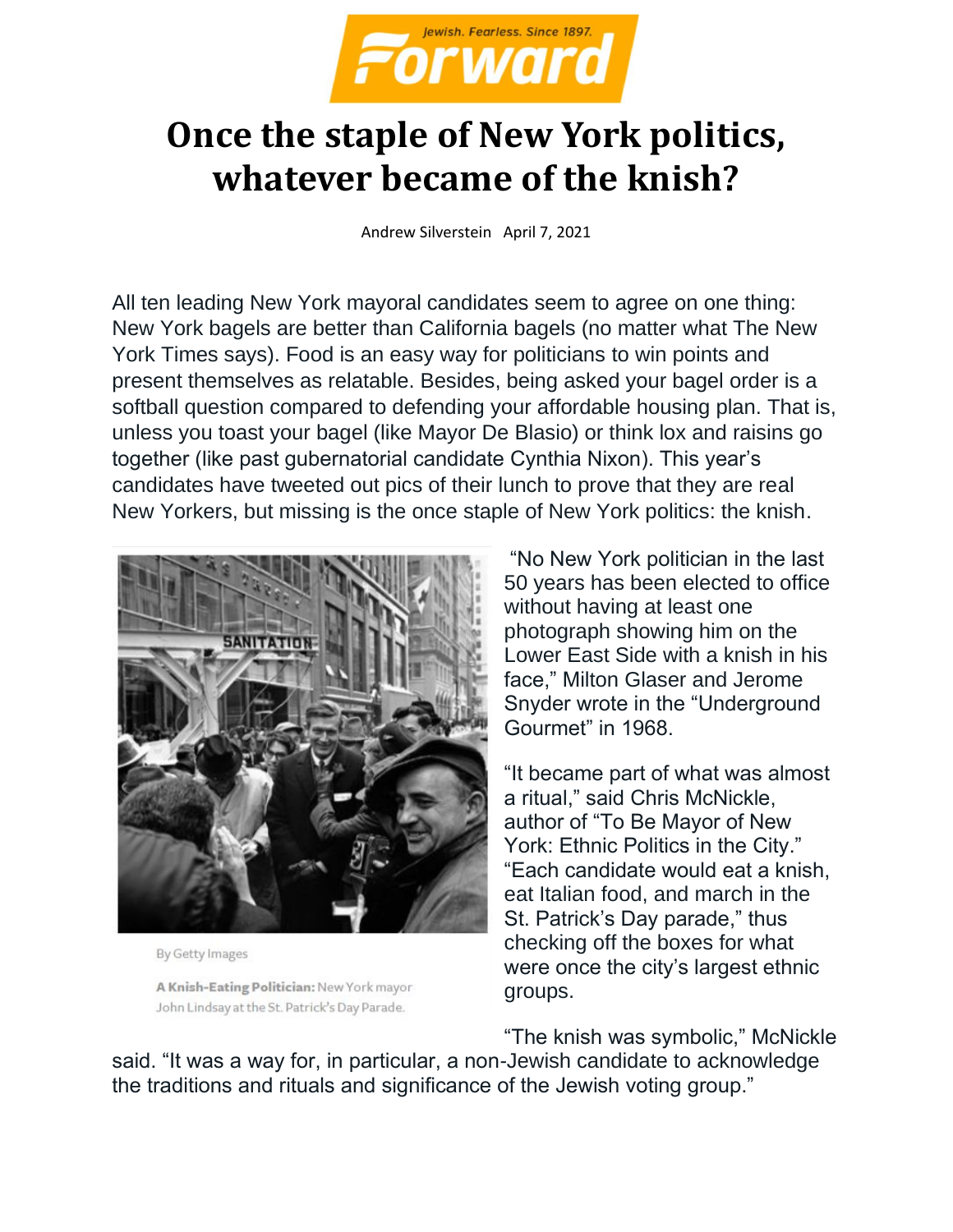

## **Once the staple of New York politics, whatever became of the knish?**

Andrew Silverstein April 7, 2021

All ten leading New York mayoral candidates seem to agree on one thing: New York bagels are better than California bagels (no matter what The New York Times says). Food is an easy way for politicians to win points and present themselves as relatable. Besides, being asked your bagel order is a softball question compared to defending your affordable housing plan. That is, unless you toast your bagel (like Mayor De Blasio) or think lox and raisins go together (like past gubernatorial candidate Cynthia Nixon). This year's candidates have tweeted out pics of their lunch to prove that they are real New Yorkers, but missing is the once staple of New York politics: the knish.



By Getty Images

A Knish-Eating Politician: New York mayor John Lindsay at the St. Patrick's Day Parade.

"No New York politician in the last 50 years has been elected to office without having at least one photograph showing him on the Lower East Side with a knish in his face," Milton Glaser and Jerome Snyder wrote in the "Underground Gourmet" in 1968.

"It became part of what was almost a ritual," said Chris McNickle, author of "To Be Mayor of New York: Ethnic Politics in the City." "Each candidate would eat a knish, eat Italian food, and march in the St. Patrick's Day parade," thus checking off the boxes for what were once the city's largest ethnic groups.

"The knish was symbolic," McNickle

said. "It was a way for, in particular, a non-Jewish candidate to acknowledge the traditions and rituals and significance of the Jewish voting group."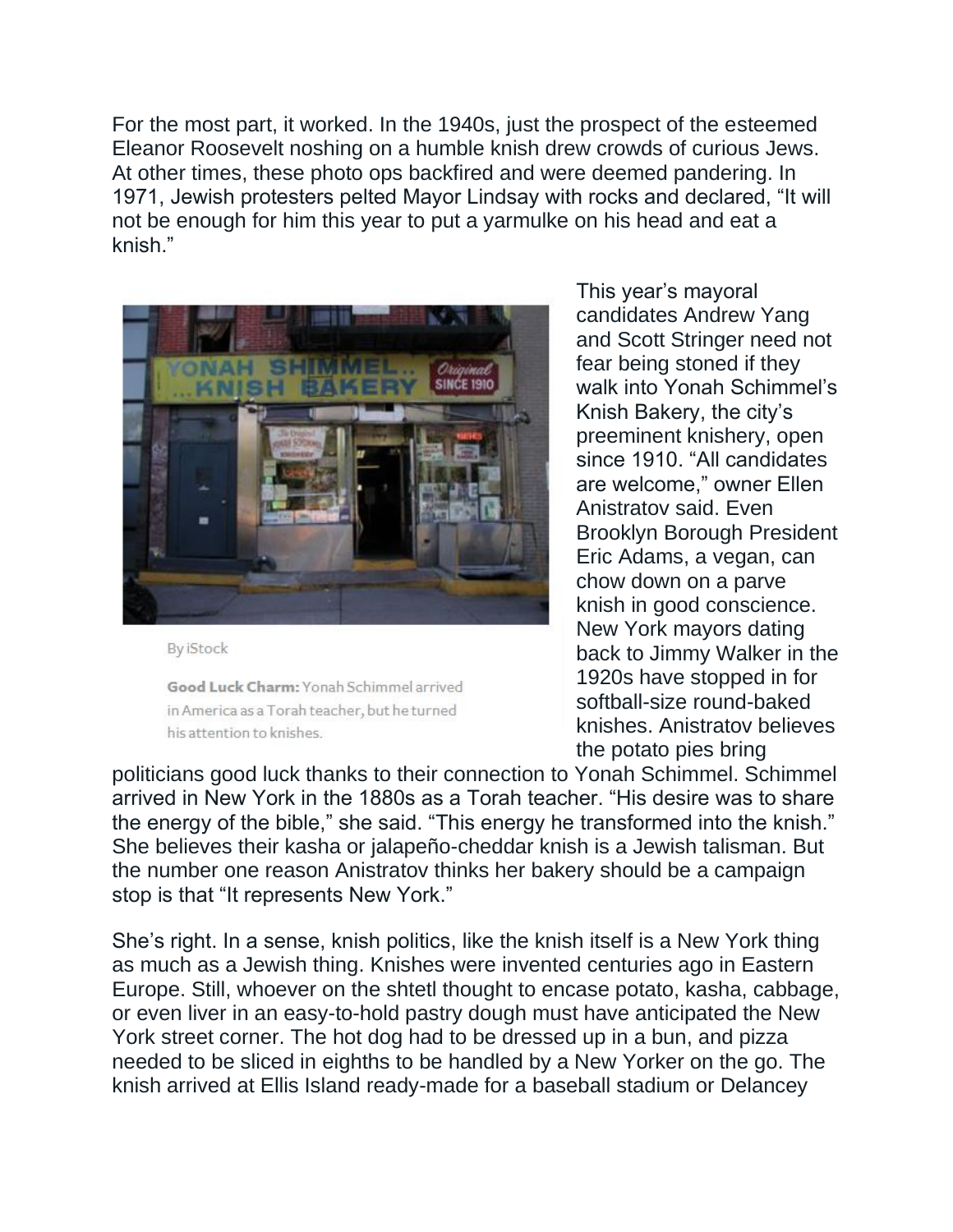For the most part, it worked. In the 1940s, just the prospect of the esteemed Eleanor Roosevelt noshing on a humble knish drew crowds of curious Jews. At other times, these photo ops backfired and were deemed pandering. In 1971, Jewish protesters pelted Mayor Lindsay with rocks and declared, "It will not be enough for him this year to put a yarmulke on his head and eat a knish."



**By iStock** 

Good Luck Charm: Yonah Schimmel arrived in America as a Torah teacher, but he turned his attention to knishes.

This year's mayoral candidates Andrew Yang and Scott Stringer need not fear being stoned if they walk into Yonah Schimmel's Knish Bakery, the city's preeminent knishery, open since 1910. "All candidates are welcome," owner Ellen Anistratov said. Even Brooklyn Borough President Eric Adams, a vegan, can chow down on a parve knish in good conscience. New York mayors dating back to Jimmy Walker in the 1920s have stopped in for softball-size round-baked knishes. Anistratov believes the potato pies bring

politicians good luck thanks to their connection to Yonah Schimmel. Schimmel arrived in New York in the 1880s as a Torah teacher. "His desire was to share the energy of the bible," she said. "This energy he transformed into the knish." She believes their kasha or jalapeño-cheddar knish is a Jewish talisman. But the number one reason Anistratov thinks her bakery should be a campaign stop is that "It represents New York."

She's right. In a sense, knish politics, like the knish itself is a New York thing as much as a Jewish thing. Knishes were invented centuries ago in Eastern Europe. Still, whoever on the shtetl thought to encase potato, kasha, cabbage, or even liver in an easy-to-hold pastry dough must have anticipated the New York street corner. The hot dog had to be dressed up in a bun, and pizza needed to be sliced in eighths to be handled by a New Yorker on the go. The knish arrived at Ellis Island ready-made for a baseball stadium or Delancey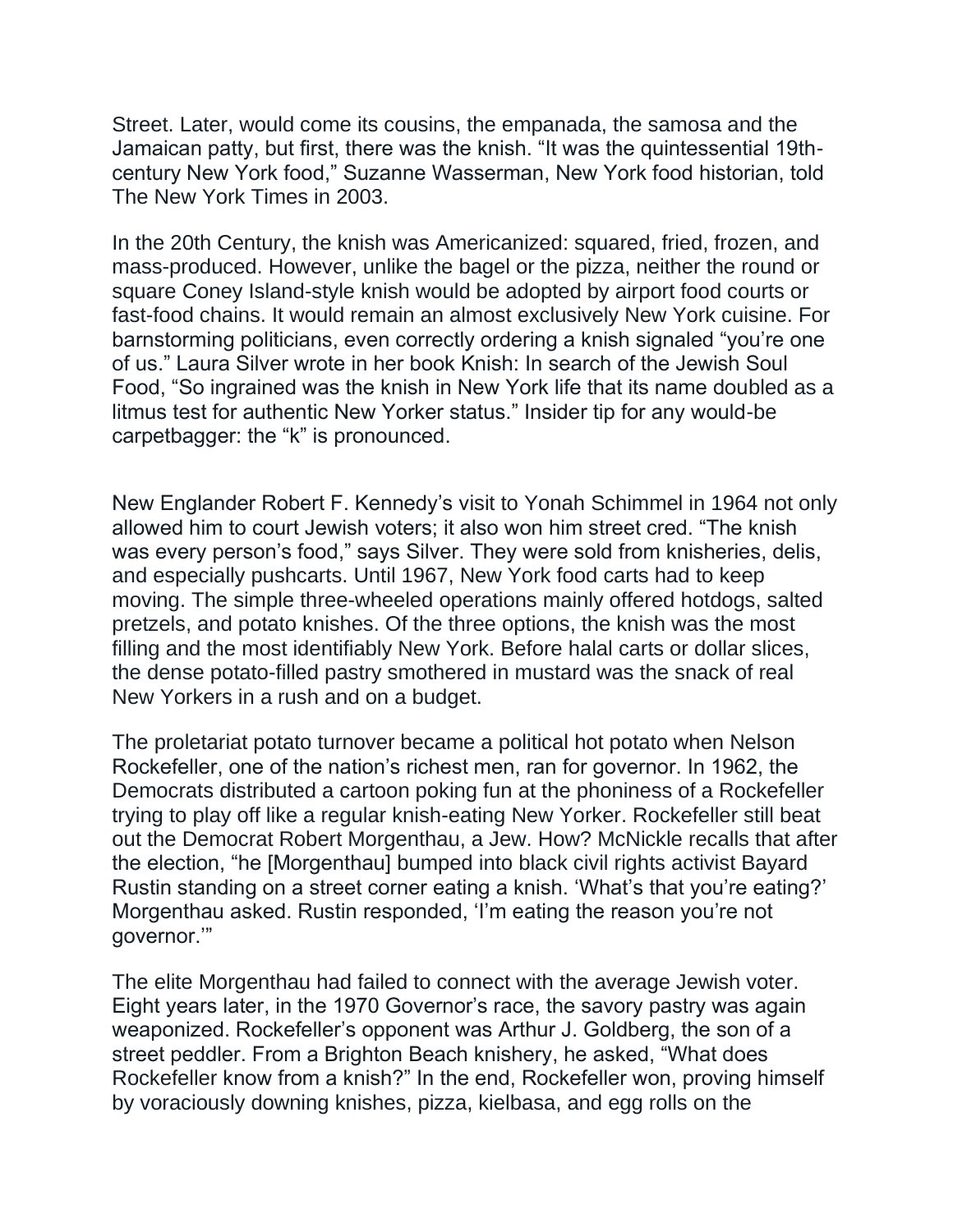Street. Later, would come its cousins, the empanada, the samosa and the Jamaican patty, but first, there was the knish. "It was the quintessential 19thcentury New York food," Suzanne Wasserman, New York food historian, told The New York Times in 2003.

In the 20th Century, the knish was Americanized: squared, fried, frozen, and mass-produced. However, unlike the bagel or the pizza, neither the round or square Coney Island-style knish would be adopted by airport food courts or fast-food chains. It would remain an almost exclusively New York cuisine. For barnstorming politicians, even correctly ordering a knish signaled "you're one of us." Laura Silver wrote in her book Knish: In search of the Jewish Soul Food, "So ingrained was the knish in New York life that its name doubled as a litmus test for authentic New Yorker status." Insider tip for any would-be carpetbagger: the "k" is pronounced.

New Englander Robert F. Kennedy's visit to Yonah Schimmel in 1964 not only allowed him to court Jewish voters; it also won him street cred. "The knish was every person's food," says Silver. They were sold from knisheries, delis, and especially pushcarts. Until 1967, New York food carts had to keep moving. The simple three-wheeled operations mainly offered hotdogs, salted pretzels, and potato knishes. Of the three options, the knish was the most filling and the most identifiably New York. Before halal carts or dollar slices, the dense potato-filled pastry smothered in mustard was the snack of real New Yorkers in a rush and on a budget.

The proletariat potato turnover became a political hot potato when Nelson Rockefeller, one of the nation's richest men, ran for governor. In 1962, the Democrats distributed a cartoon poking fun at the phoniness of a Rockefeller trying to play off like a regular knish-eating New Yorker. Rockefeller still beat out the Democrat Robert Morgenthau, a Jew. How? McNickle recalls that after the election, "he [Morgenthau] bumped into black civil rights activist Bayard Rustin standing on a street corner eating a knish. 'What's that you're eating?' Morgenthau asked. Rustin responded, 'I'm eating the reason you're not governor.'"

The elite Morgenthau had failed to connect with the average Jewish voter. Eight years later, in the 1970 Governor's race, the savory pastry was again weaponized. Rockefeller's opponent was Arthur J. Goldberg, the son of a street peddler. From a Brighton Beach knishery, he asked, "What does Rockefeller know from a knish?" In the end, Rockefeller won, proving himself by voraciously downing knishes, pizza, kielbasa, and egg rolls on the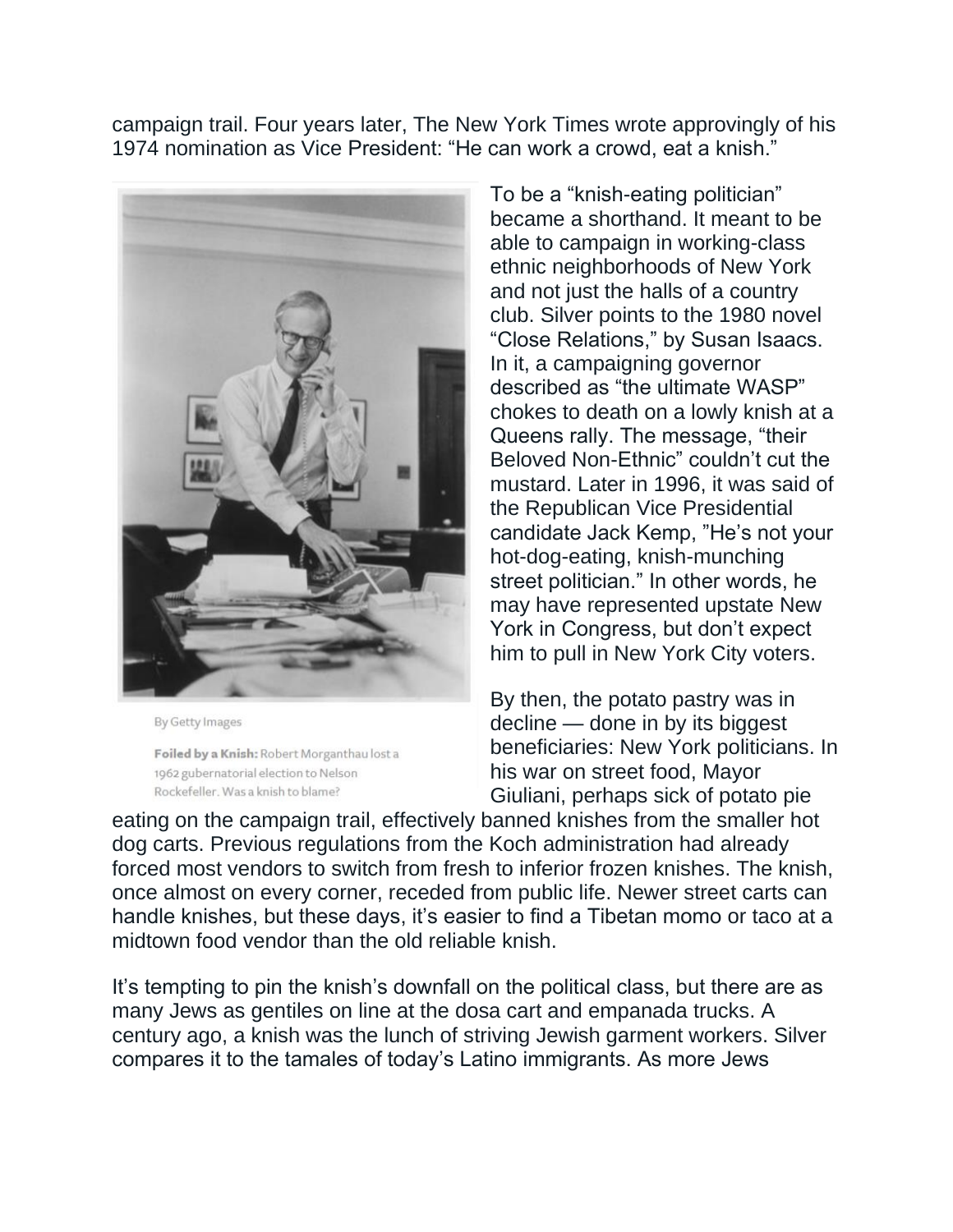campaign trail. Four years later, The New York Times wrote approvingly of his 1974 nomination as Vice President: "He can work a crowd, eat a knish."



By Getty Images

Foiled by a Knish: Robert Morganthau lost a 1962 gubernatorial election to Nelson Rockefeller, Was a knish to blame?

To be a "knish-eating politician" became a shorthand. It meant to be able to campaign in working-class ethnic neighborhoods of New York and not just the halls of a country club. Silver points to the 1980 novel "Close Relations," by Susan Isaacs. In it, a campaigning governor described as "the ultimate WASP" chokes to death on a lowly knish at a Queens rally. The message, "their Beloved Non-Ethnic" couldn't cut the mustard. Later in 1996, it was said of the Republican Vice Presidential candidate Jack Kemp, "He's not your hot-dog-eating, knish-munching street politician." In other words, he may have represented upstate New York in Congress, but don't expect him to pull in New York City voters.

By then, the potato pastry was in decline — done in by its biggest beneficiaries: New York politicians. In his war on street food, Mayor Giuliani, perhaps sick of potato pie

eating on the campaign trail, effectively banned knishes from the smaller hot dog carts. Previous regulations from the Koch administration had already forced most vendors to switch from fresh to inferior frozen knishes. The knish, once almost on every corner, receded from public life. Newer street carts can handle knishes, but these days, it's easier to find a Tibetan momo or taco at a midtown food vendor than the old reliable knish.

It's tempting to pin the knish's downfall on the political class, but there are as many Jews as gentiles on line at the dosa cart and empanada trucks. A century ago, a knish was the lunch of striving Jewish garment workers. Silver compares it to the tamales of today's Latino immigrants. As more Jews